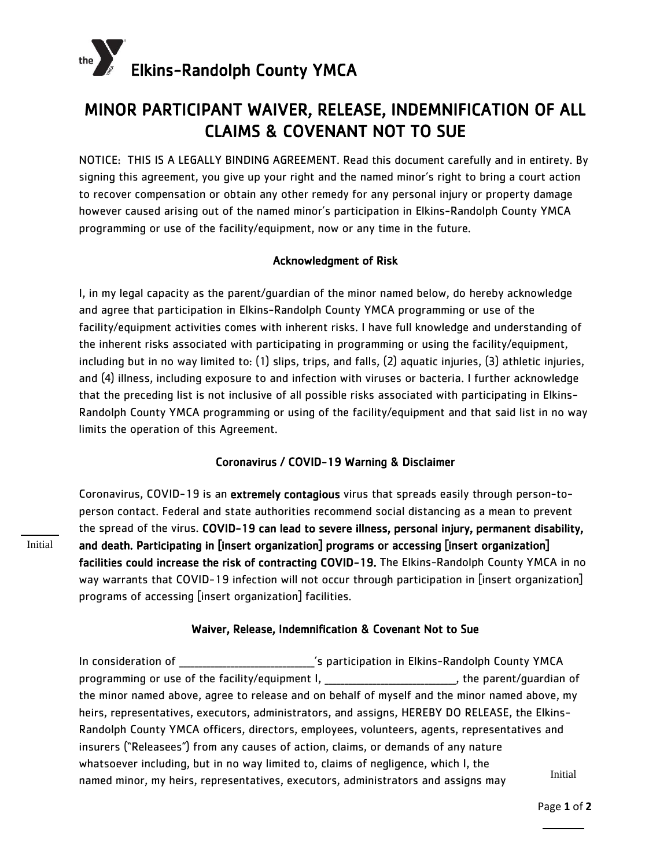

## MINOR PARTICIPANT WAIVER, RELEASE, INDEMNIFICATION OF ALL CLAIMS & COVENANT NOT TO SUE

NOTICE: THIS IS A LEGALLY BINDING AGREEMENT. Read this document carefully and in entirety. By signing this agreement, you give up your right and the named minor's right to bring a court action to recover compensation or obtain any other remedy for any personal injury or property damage however caused arising out of the named minor's participation in Elkins-Randolph County YMCA programming or use of the facility/equipment, now or any time in the future.

### Acknowledgment of Risk

I, in my legal capacity as the parent/guardian of the minor named below, do hereby acknowledge and agree that participation in Elkins-Randolph County YMCA programming or use of the facility/equipment activities comes with inherent risks. I have full knowledge and understanding of the inherent risks associated with participating in programming or using the facility/equipment, including but in no way limited to: (1) slips, trips, and falls, (2) aquatic injuries, (3) athletic injuries, and (4) illness, including exposure to and infection with viruses or bacteria. I further acknowledge that the preceding list is not inclusive of all possible risks associated with participating in Elkins-Randolph County YMCA programming or using of the facility/equipment and that said list in no way limits the operation of this Agreement.

### Coronavirus / COVID-19 Warning & Disclaimer

Coronavirus, COVID-19 is an extremely contagious virus that spreads easily through person-toperson contact. Federal and state authorities recommend social distancing as a mean to prevent the spread of the virus. COVID-19 can lead to severe illness, personal injury, permanent disability, and death. Participating in [insert organization] programs or accessing [insert organization] facilities could increase the risk of contracting COVID-19. The Elkins-Randolph County YMCA in no way warrants that COVID-19 infection will not occur through participation in [insert organization] programs of accessing [insert organization] facilities.

### Waiver, Release, Indemnification & Covenant Not to Sue

In consideration of \_\_\_\_\_\_\_\_\_\_\_\_\_\_\_\_\_\_\_\_\_\_\_\_\_\_\_\_\_\_\_\_\_\_'s participation in Elkins-Randolph County YMCA programming or use of the facility/equipment I, \_\_\_\_\_\_\_\_\_\_\_\_\_\_\_\_\_\_\_\_\_\_\_\_\_, the parent/quardian of the minor named above, agree to release and on behalf of myself and the minor named above, my heirs, representatives, executors, administrators, and assigns, HEREBY DO RELEASE, the Elkins-Randolph County YMCA officers, directors, employees, volunteers, agents, representatives and insurers ("Releasees") from any causes of action, claims, or demands of any nature whatsoever including, but in no way limited to, claims of negligence, which I, the named minor, my heirs, representatives, executors, administrators and assigns may Initial

Initial